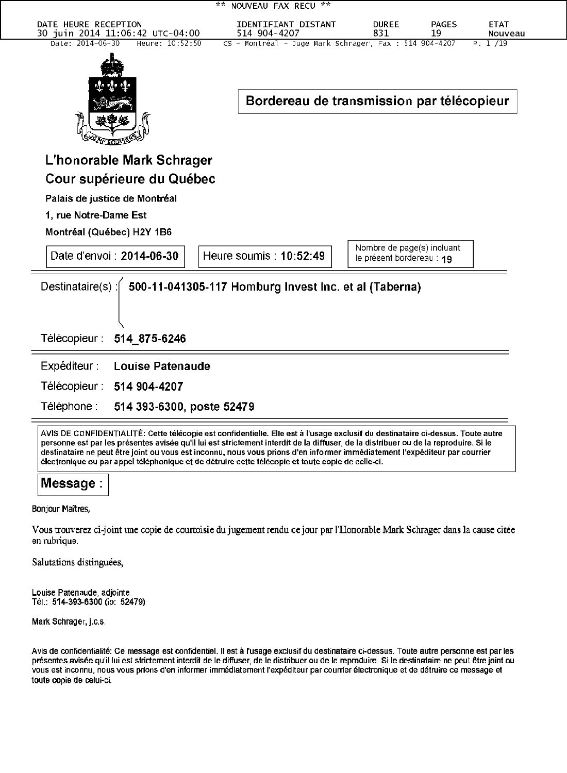| 2.25                                                                                                                                                                                                                                                                    | NOUVEAU FAX RECU **                 |                                                         |                    |                        |
|-------------------------------------------------------------------------------------------------------------------------------------------------------------------------------------------------------------------------------------------------------------------------|-------------------------------------|---------------------------------------------------------|--------------------|------------------------|
| DATE HEURE RECEPTION<br>30 juin 2014 11:06:42 UTC-04:00                                                                                                                                                                                                                 | IDENTIFIANT DISTANT<br>514 904-4207 | <b>DUREE</b><br>831                                     | <b>PAGES</b><br>19 | <b>ETAT</b><br>Nouveau |
| Date: 2014-06-30<br>Heure: 10:52:50<br>CS - Montréal - Juge Mark Schrager, Fax : 514 904-4207<br>P. 1 /19<br>Bordereau de transmission par télécopieur                                                                                                                  |                                     |                                                         |                    |                        |
| L'honorable Mark Schrager                                                                                                                                                                                                                                               |                                     |                                                         |                    |                        |
| Cour supérieure du Québec                                                                                                                                                                                                                                               |                                     |                                                         |                    |                        |
| Palais de justice de Montréal                                                                                                                                                                                                                                           |                                     |                                                         |                    |                        |
| 1, rue Notre-Dame Est                                                                                                                                                                                                                                                   |                                     |                                                         |                    |                        |
| Montréal (Québec) H2Y 1B6                                                                                                                                                                                                                                               |                                     |                                                         |                    |                        |
| Date d'envoi : 2014-06-30<br>Heure soumis: 10:52:49                                                                                                                                                                                                                     |                                     | Nombre de page(s) incluant<br>le présent bordereau : 19 |                    |                        |
| Destinataire(s):<br>500-11-041305-117 Homburg Invest Inc. et al (Taberna)<br>Télécopieur :<br>514_875-6246                                                                                                                                                              |                                     |                                                         |                    |                        |
| Expéditeur :<br><b>Louise Patenaude</b>                                                                                                                                                                                                                                 |                                     |                                                         |                    |                        |
| Télécopieur : 514 904-4207                                                                                                                                                                                                                                              |                                     |                                                         |                    |                        |
| Téléphone :<br>514 393-6300, poste 52479                                                                                                                                                                                                                                |                                     |                                                         |                    |                        |
| AVIS DE CONFIDENTIALITÉ: Cette télécopie est confidentielle. Elle est à l'usage exclusif du destinataire ci-dessus. Toute autre<br>personne est par les présentes avisée qu'il lui est strictement interdit de la diffuser, de la distribuer ou de la reproduire. Si le |                                     |                                                         |                    |                        |

Message:

Bonjour Maîtres,

Vous trouverez ci-joint une copie de courtoisie du jugement rendu ce jour par l'Honorable Mark Schrager dans la cause citée en rubrique.

destinataire ne peut êtrejoint ou vous est inconnu, nous vous prions d'en informer immédiatement l'expéditeur par courrier

électronique ou par appel téléphonique et de détruire cette télécopie et toute copie de celle-ci.

Salutations distinguées,

Louise Patenaude, adjointe Tél.: 514-393-6300 (ip: 52479)

Mark Schrager, j.c.s.

Avis de confidentialité: Ce message est confidentiel. Il est à l'usage exclusif du destinataire ci-dessus. Toute autre personne est par les présentes avisée qu'il lui est strictement interdit de le diffuser, de le distribuer ou de le reproduire. Si le destinataire ne peut étre joint ou vous est inconnu, nous vous prions d'en informer immédiatement l'expéditeur par courrier électronique et de détruire cе message et toute copie de celui-ci.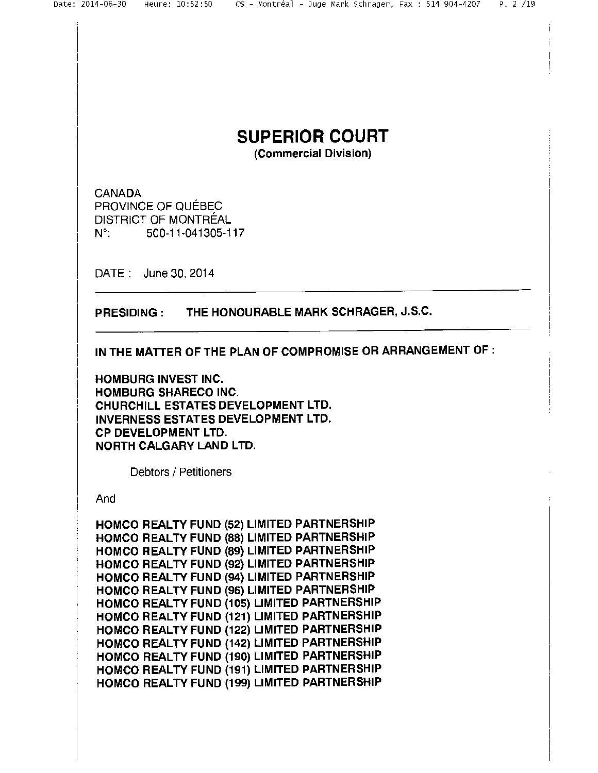# SUPERIOR COURT

(Commercial Division)

**CANADA** PROVINCE OF QUÉBEC DISTRICT OF MONTRÉAL N°; 500-11-041305-117

DATE: June 30, 2014

PRESIDING: THE HONOURABLE MARK SCHRAGER, J.S.C.

IN THE MATTER OF THE PLAN OF COMPROMISE OR ARRANGEMENT OF:

HOMBURG INVEST INC. HOMBURG SHARECO INC. CHURCHILL ESTATES DEVELOPMENT LTD. INVERNESS ESTATES DEVELOPMENT LTD. CP DEVELOPMENT LTD. NORTH CALGARY LAND LTD.

Debtors / Petitioners

And

HOMCO REALTY FUND (52) LIMITED PARTNERSHIP HOMCO REALTY FUND (88) LIMITED PARTNERSHIP HOMCO REALTY FUND (89) LIMITED PARTNERSHIP HOMCO REALTY FUND (92) LIMITED PARTNERSHIP HOMCO REALTY FUND (94) LIMITED PARTNERSHIP HOMCO REALTY FUND (96) LIMITED PARTNERSHIP HOMCO REALTY FUND (105) LIMITED PARTNERSHIP HOMCO REALTY FUND (121) LIMITED PARTNERSHIP НОМСО REALTY FUND (122) LIMITED PARTNERSHIP HOMCO REALTY FUND (142) LIMITED PARTNERSHIP HOMCO REALTY FUND (190) LIMITED PARTNERSHIP HOMCO REALTY FUND (191) LIMITED PARTNERSHIP HOMCO REALTY FUND (199) LIMITED PARTNERSHIP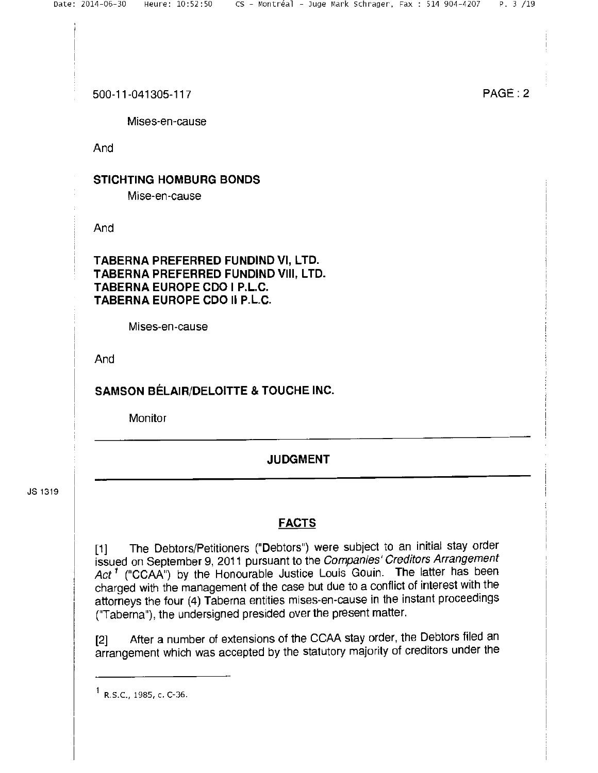Mises-en-cause

And

# STICHTING HOMBURG BONDS

Mise-en-cause

And

TABERNA PREFERRED FUNDIND VI, LTD. TABERNA PREFERRED FUNDIND VIII, LTD. TABERNA EUROPE COO I P.L.C. TABERNA EUROPE CDO II P.L.C.

Mises-en-cause

And

## SAMSON BÉLAIR/DELOITTE & TOUCHE INC.

**Monitor** 

# JUDGMENT

JS 1319

# FACTS

[1] The Debtors/Petitioners ("Debtors") were subject to an initial stay order issued on September 9, 2011 pursuant to the Companies' Creditors Arrangement Act<sup>1</sup> ("CCAA") by the Honourable Justice Louis Gouin. The latter has been charged with the management of the case but due to a conflict of interest with the attorneys the four (4) Taberna entities mises-en-cause in the instant proceedings ("Taberna"), the undersigned presided over the present matter.

[2] After a number of extensions of the CCAA stay order, the Debtors filed an arrangement which was accepted by the statutory majority of creditors under the

 $1$  R.S.C., 1985, c. C-36.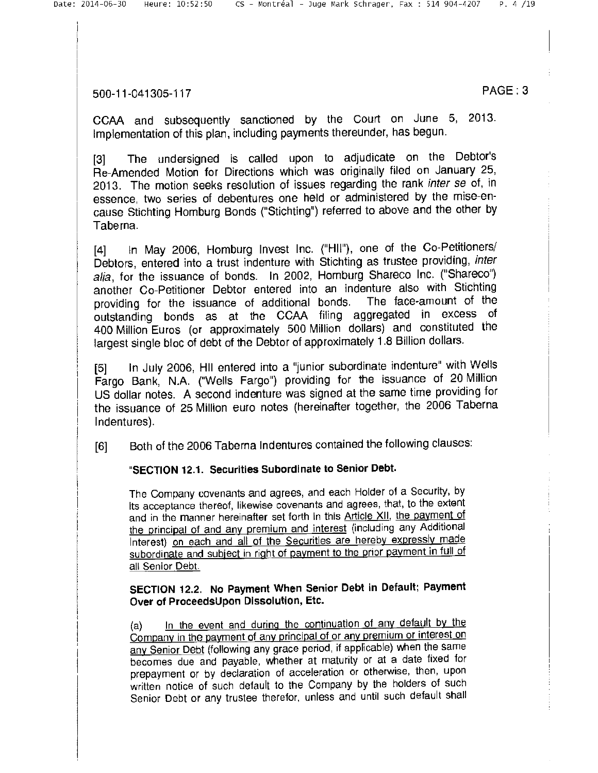CCAA and subsequently sanctioned by the Court on June 5, 2013. Implementation of this plan, including payments thereunder, has begun.

[3] The undersigned is called upon to adjudicate on the Debtor's Re-Amended Motion for Directions which was originally filed on January 25, 2013. The motion seeks resolution of issues regarding the rank inter se of, in essence, two series of debentures one held or administered by the mise-encause Stichting Homburg Bonds ("Stichting") referred to above and the other by Taberna.

[4] In May 2006, Homburg Invest Inc. ("HII"), one of the Co-Petitioners/ Debtors, entered into a trust indenture with Stichting as trustee providing, inter alia, for the issuance of bonds. In 2002, Homburg shareco Inc. ("Shareco") another Co-Petitioner Debtor entered into an indenture also with Stichting providing for the issuance of additional bonds. The face-amount of the outstanding bonds as at the CCAA filing aggregated in excess of 400 Million Euros (or approximately 500 Million dollars) and constituted the largest single bloc of debt of the Debtor of approximately 1.8 Billion dollars.

[5] In July 2006, III entered into a "junior subordinate indenture" with Wells Fargo Bank, N.A. ("Wells Fargo") providing for the issuance of 20 Million US dollar notes. A second indenture was signed at the same time providing for the issuance of 25 Million euro notes (hereinafter together, the 2006 Taberna Indentures).

[6] Both of the 2006 Taberna Indentures contained the following clauses:

#### "SECTION 12.1. Securities Subordinate to senior Debt.

The Company covenants and agrees, and each Holder of a Security, by its acceptance thereof, likewise covenants and agrees, that, to the extent and in the manner hereinafter set forth in this Article XII, the payment of the principal of and any premium and interest (including any Additional Interest) on each and all of the Securities are hereby expressly made subordinate and subject in right of payment to the prior payment in full of all Senior Debt.

#### SECTION 12.2. No Payment When Senior Debt in Default; Payment Over of ProceedsUpon Dissolution, Etc.

(a) In the event and during the continuation of any default by the Company in the payment of any principal of or any premium or interest on any Senior Debt (following any grace period, if applicable) when the same becomes due and payable, whether at maturity or at a date fixed for prepayment or by declaration of acceleration or otherwise, then, upon written notice of such default to the Company by the holders of such senior Debt or any trustee therefor, unless and until such default shall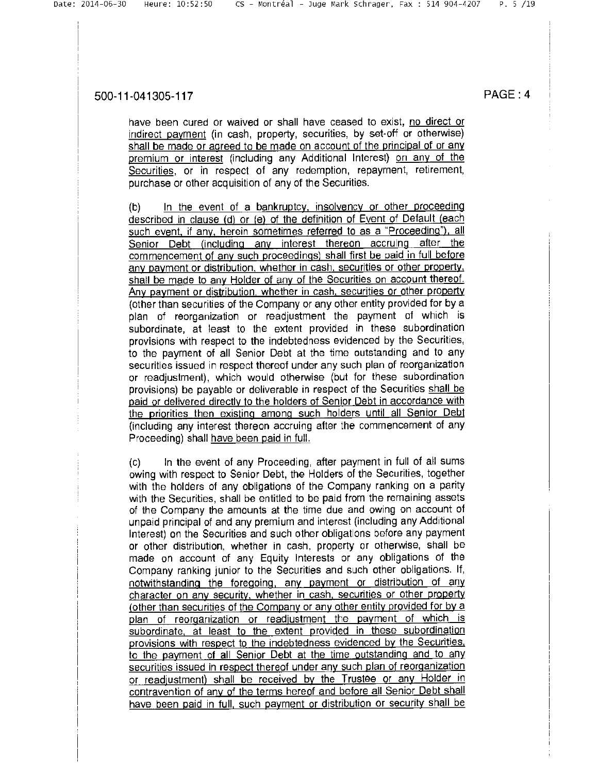have been cured or waived or shall have ceased to exist, no direct or indirect payment (in cash, property, securities, by set-off or otherwise) shall be made or agreed to be made on account of the principal of or any premium or interest (including any Additional Interest) on any of the Securities, or in respect of any redemption, repayment, retirement, purchase or other acquisition of any of the Securities.

(b) In the event of a bankruptcy, insolvency or other proceeding described in clause (d) or (e) of the definition of Event of Default (each such event, if any, herein sometimes referred to as a "Proceeding"), all Senior Debt (including any interest thereon accruing after the commencement of any such proceedings) shall first be paid in full before any payment or distribution, whether in cash, securities or other property. shall be made to any Holder of any of the Securities on account thereof. Any payment or distribution, whether in cash, securities or other property (other than securities of the Company or any other entity provided for by a plan of reorganization or readjustment the payment of which is subordinate, at least to the extent provided in these subordination provisions with respect to the indebtedness evidenced by the Securities, to the payment of all Senior Debt at the time outstanding and to any securities issued in respect thereof under any such plan of reorganization or readjustment), which would otherwise (but for these subordination provisions) be payable or deliverable in respect of the Securities shall be paid or delivered directly to the holders of Senior Debt in accordance with the priorities then existing amonq such holders until all Senior Debt (including any interest thereon accruing after the commencement of any Proceeding) shall have been paid in full.

(c) In the event of any Proceeding, after payment in full of all sums owing with respect to Senior Debt, the Holders of the Securities, together with the holders of any obligations of the Company ranking on a parity with the Securities, shall be entitled to be paid from the remaining assets of the Company the amounts at the time due and owing on account of unpaid principal of and any premium and interest (including any Additional Interest) on the Securities and such other obligations before any payment or other distribution, whether in cash, property or otherwise, shall be made on account of any Equity Interests or any obligations of the Company ranking junior to the Securities and such other obligations. If, notwithstanding the foregoinq, any payment or distribution of any character on any security, whether in cash, securities or other property (other than securities of the Company or any other entity provided for by a plan of reorganization or readjustment the payment of which is subordinate, at least to the extent provided in these subordination provisions with respect to the indebtedness evidenced by the Securities. to the payment of all Senior Debt at the time outstanding and to any securities issued in respect thereof under any such plan of reorganization or readjustment) shall be received by the Trustee or any Holder in contravention of any of the terms hereof and before all Senior Debt shall have been paid in full, such payment or distribution or security shall be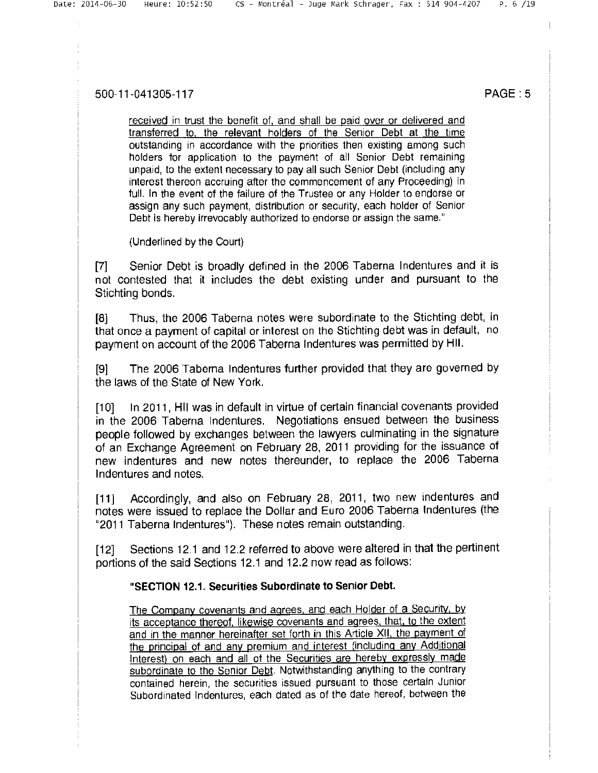received in trust the benefit of, and shall be paid over or delivered and transferred to, the relevant holders of the Senior Debt at the time outstanding in accordance with the priorities then existing among such holders for application to the payment of all Senior Debt remaining unpaid, to the extent necessary to pay all such Senior Debt (including any interest thereon accruing after the commencement of any Proceeding) in full. In the event of the failure of the Trustee or any Holder to endorse or assign any such payment, distribution or security, each holder of Senior Debt is hereby irrevocably authorized to endorse or assign the same."

(Underlined by the Court)

[7] Senior Debt is broadly defined in the 2006 Taberna Indentures and it is not contested that it includes the debt existing under and pursuant to the Stichting bonds.

[8] Thus, the 2006 Taberna notes were subordinate to the Stichting debt, in that once a payment of capital or interest on the Stichting debt was in default, no payment on account of the 2006 Taberna Indentures was permitted by HII.

[9] The 2006 Taberna Indentures further provided that they are governed by the laws of the State of New York.

[10] In 2011, HII was in default in virtue of certain financial covenants provided in the 2006 Taberna Indentures. Negotiations ensued between the business people followed by exchanges between the lawyers culminating in the signature of an Exchange Agreement on February 28, 2011 providing for the issuance of new indentures and new notes thereunder, to replace the 2006 Taberna Indentures and notes.

[11] Accordingly, and also on February 28, 2011, two new indentures and notes were issued to replace the Dollar and Euro 2006 Taberna Indentures (the "2011 Taberna Indentures"). These notes remain outstanding.

[12] Sections 12.1 and 12.2 referred to above were altered in that the pertinent portions of the said Sections 12.1 and 12.2 now read as follows:

#### "SECTION 12л. securities subordinate to senior Debt.

The Company covenants and agrees, and each Holder of a Security, by its acceptance thereof, likewise covenants and agrees, that, to the extent and in the manner hereinafter set forth in this Article XII, the payment of the principal of and any premium and interest (includinq any Additional Interest) on each and all of the Securities are hereby expressly made subordinate to the Senior Debt. Notwithstanding anything to the contrary contained herein, the securities issued pursuant to those certain Junior Subordinated Indentures, each dated as of the date hereof, between the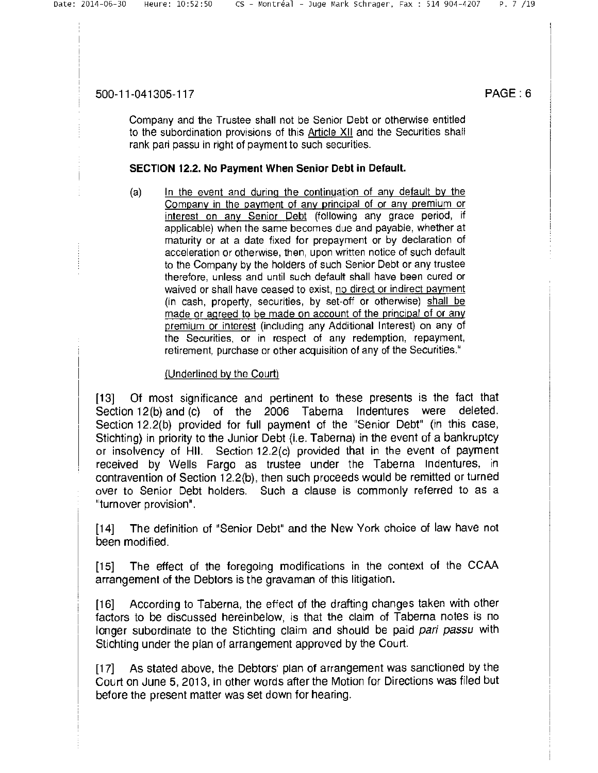Company and the Trustee shall not be Senior Debt or otherwise entitled to the subordination provisions of this Article XII and the Securities shall rank pari passu in right of payment to such securities.

#### SECTION 12.2. No Payment When senior Debt in Default.

(a) In the event and during the continuation of any default by the Company in the payment of any principal of or any premium or interest on any Senior Debt (following any grace period, if applicable) when the same becomes due and payable, whether at maturity or at a date fixed for prepayment or by declaration of acceleration or otherwise, then, upon written notice of such default to the Company by the holders of such Senior Debt or any trustee therefore, unless and until such default shall have been cured or waived or shall have ceased to exist, no direct or indirect payment (in cash, property, securities, by set-off or otherwise) shall be made or agreed to be made on account of the principal of or any premium or interest (including any Additional Interest) on any of the Securities, or in respect of any redemption, repayment, retirement, purchase or other acquisition of any of the Securities."

#### (Underlined by the Court)

[13] Of most significance and pertinent to these presents is the fact that Section 12(b) and (c) of the 2006 Taberna Indentures were deleted. Section 12.2(b) provided for full payment of the "Senior Debt" (in this case, Stichting) in priority to the Junior Debt (i.e. Taberna) in the event of a bankruptcy or insolvency of III. Section 12.2(c) provided that in the event of payment received by Wells Fargo as trustee under the Taberna Indentures, in contravention of Section 12.2(b), then such proceeds would be remitted or turned over to Senior Debt holders. Such a clause is commonly referred to as a "turnover provision".

[14] The definition of "Senior Debt" and the New York choice of law have not been modified.

[15] The effect of the foregoing modifications in the context of the CCAA arrangement of the Debtors is the gravaman of this litigation.

[16] According to Taberna, the effect of the drafting changes taken with other factors to be discussed hereinbelow, is that the claim of Taberna notes is no longer subordinate to the Stichting claim and should be paid *pari passu* with Stichting under the plan of arrangement approved by the Court.

[17] As stated above, the Debtors' plan of arrangement was sanctioned by the Court on June 5, 2013, in other words after the Motion for Directions was filed but before the present matter was set down for hearing.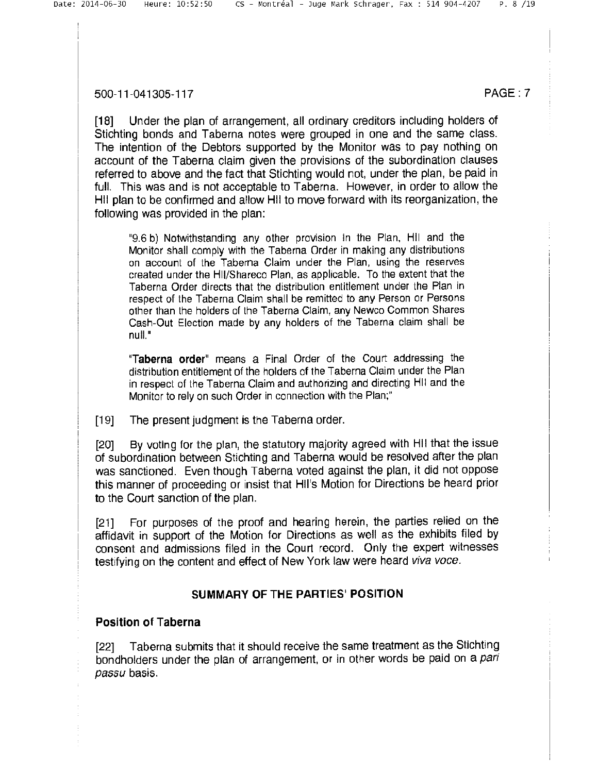[18] Under the plan of arrangement, all ordinary creditors including holders of Stichting bonds and Taberna notes were grouped in one and the same class. The intention of the Debtors supported by the Monitor was to pay nothing on account of the Taberna claim given the provisions of the subordination clauses referred to above and the fact that Stichting would not, under the plan, be paid in full. This was and is not acceptable to Taberna. However, in order to allow the HII plan to be confirmed and allow HII to move forward with its reorganization, the following was provided in the plan:

9.6 b) Notwithstanding any other provision in the Plan, HII and the Monitor shall comply with the Taberna Order in making any distributions on account of the Taberna Claim under the Plan, using the reserves created under the HII/shareco Plan, as applicable. To the extent that the Taberna Order directs that the distribution entitlement under the Plan in respect of the Taberna Claim shall be remitted to any Person or Persons other than the holders of the Taberna Claim, any Newco Common shares Cash-Out Election made by any holders of the Taberna claim shall be null."

"Taberna order" means a Final Order of the Court addressing the distribution entitlement of the holders of the Taberna Claim under the Plan in respect of the Taberna Claim and authorizing and directing III and the Monitor to rely on such Order in connection with the Plan;"

[19] The present judgment is the Taberna order.

[20] By voting for the plan, the statutory majority agreed with HII that the issue of subordination between Stichting and Taberna would be resolved after the plan was sanctioned. Even though Taberna voted against the plan, it did not oppose this manner of proceeding or insist that HII's Motion for Directions be heard prior to the Court sanction of the plan.

[21] For purposes of the proof and hearing herein, the parties relied on the affidavit in support of the Motion for Directions as well as the exhibits filed by consent and admissions filed in the Court record. Only the expert witnesses testifying on the content and effect of New York law were heard viva voce.

#### **SUMMARY OF THE PARTIES POSITION**

#### **Position of Taberna**

[22] Taberna submits that it should receive the same treatment as the Stichting bondholders under the plan of arrangement, or in other words be paid on a pari passu basis.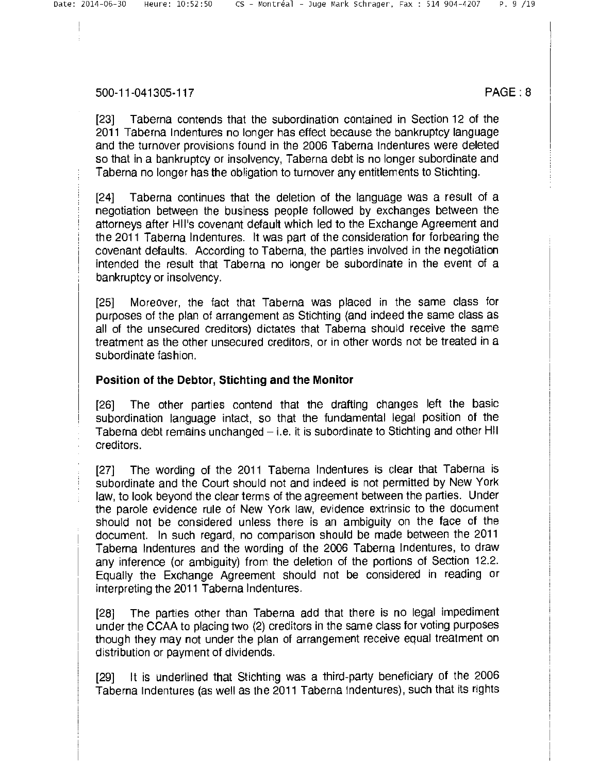[23] Taberna contends that the subordination contained in Section 12 of the 2011 Taberna Indentures no longer has effect because the bankruptcy language and the turnover provisions found in the 2006 Taberna Indentures were deleted so that in a bankruptcy or insolvency, Taberna debt is no longer subordinate and Taberna no longer has the obligation to turnover any entitlements to Stichting.

[24] Taberna continues that the deletion of the language was a result of a negotiation between the business people followed by exchanges between the attorneys after HII's covenant default which led to the Exchange Agreement and the 2011 Taberna Indentures. It was part of the consideration for forbearing the covenant defaults. According to Taberna, the parties involved in the negotiation intended the result that Taberna no longer be subordinate in the event of a bankruptcy or insolvency.

[25] Moreover, the fact that Taberna was placed in the same class for purposes of the plan of arrangement as Stichting (and indeed the same class as all of the unsecured creditors) dictates that Taberna should receive the same treatment as the other unsecured creditors, or in other words not be treated in a subordinate fashion.

#### Position of the Debtor, Stichting and the Monitor

[26] The other parties contend that the drafting changes left the basic subordination language intact, so that the fundamental legal position of the Taberna debt remains unchanged — i.e. it is subordinate to Stichting and other Ill creditors.

[27] The wording of the 2011 Taberna Indentures is clear that Taberna is subordinate and the Court should not and indeed is not permitted by New York law, to look beyond the clear terms of the agreement between the parties. Under the parole evidence rule of New York law, evidence extrinsic to the document should nоt be considered unless there is an ambiguity on the face of the document. In such regard, no comparison should be made between the 2011 Taberna Indentures and the wording of the 2006 Taberna Indentures, to draw any inference (or ambiguity) from the deletion of the portions of Section 12.2. Equally the Exchange Agreement should not be considered in reading or interpreting the 2011 Taberna Indentures.

[28] The parties other than Taberna add that there is no legal impediment under the CCAA to placing two (2) creditors in the same class for voting purposes though they may not under the plan of arrangement receive equal treatment on distribution or payment of dividends.

[29] It is underlined that Stichting was a third-party beneficiary of the 2006 Taberna Indentures (as well as the 2011 Taberna Indentures), such that its rights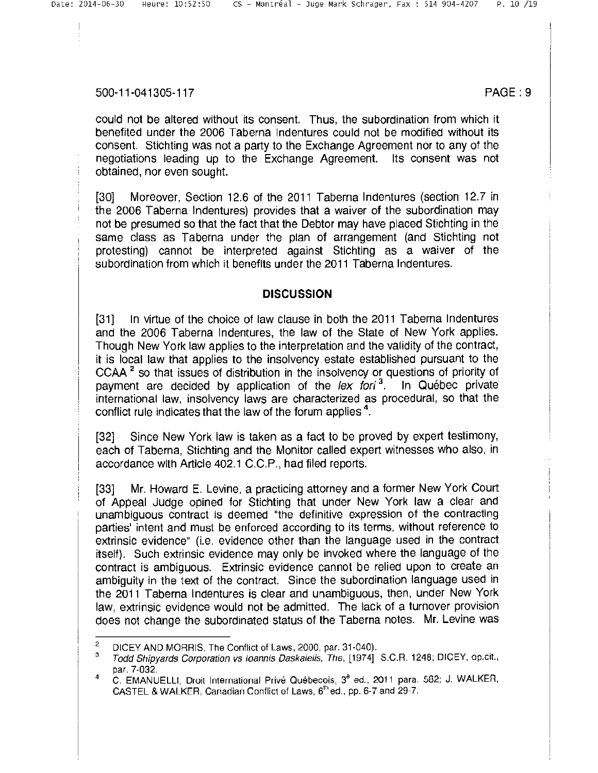could not be altered without its consent. Thus, the subordination from which it benefited under the 2006 Taberna Indentures could not be modified without its consent. Stichting was not a party to the Exchange Agreement nor to any of the negotiations leading up to the Exchange Agreement. Its consent was not obtained, nor even sought.

[30] Moreover, Section 12.6 of the 2011 Taberna Indentures (section 12.7 in the 2006 Taberna Indentures) provides that a waiver of the subordination may not be presumed so that the fact that the Debtor may have placed Stichting in the same class as Taberna under the plan of arrangement (and Stichting not protesting) cannot be interpreted against Stichting as a waiver of the subordination from which it benefits under the 2011 Taberna Indentures.

# **DISCUSSION**

[31] In virtue of the choice 0f law clause in both the 2011 Taberna Indentures and the 2006 Taberna Indentures, the law of the State of New York applies. Though New York law applies to the interpretation and the validity of the contract, it is local law that applies to the insolvency estate established pursuant to the CCAA $<sup>2</sup>$  so that issues of distribution in the insolvency or questions of priority of</sup> payment are decided by application of the lex fori<sup>3</sup>. In Québec private international law, insolvency laws are characterized as procedural, so that the conflict rule indicates that the law of the forum applies<sup>4</sup>.

[32] Since New York law is taken as a fact to be proved by expert testimony, each 0f Taberna, Stichting and the Monitor called expert witnesses who also, in accordance with Article 402.1 C.C.P., had filed reports.

[33] Mr. Howard E. Levine, a practicing attorney and a former New York Court of Appeal Judge opined for Stichting that under New York law a clear and unambiguous contract is deemed the definitive expression of the contracting parties' intent and must be enforced according to its terms, without reference to extrinsic evidence" (i.e. evidence other than the language used in the contract itself). Such extrinsic evidence may only be invoked where the language of the contract is ambiguous. Extrinsic evidence cannot be relied upon to create an ambiguity in the text of the contract. Since the subordination language used in the 2011 Taberna Indentures is clear and unambiguous, then, under New York law, extrinsic evidence would not be admitted. The lack of a turnover provision does not change the subordinated status of the Taberna notes. Mr. Levine was

<sup>&</sup>lt;sup>2</sup> DICEY AND MORRIS, The Conflict of Laws, 2000, par. 31-040).<br><sup>3</sup> Eagle Chinyarda Caracterina ya (soppia Postatella The 11974).

Todd Shipyards Corporation vs Ioannis Daskalelis, The, [1974] S.C.R. 1248; DICEY, op.cit., par. 7-032.

 $\overline{4}$ C. EMANUELLI, Droit International Privé Québecois, 3<sup>e</sup> ed., 2011 para. 582; J. WALKER, CASTEL & WALKER. Canadian Conflict of Laws, 6'hed., pp. 6-7 and 29-7.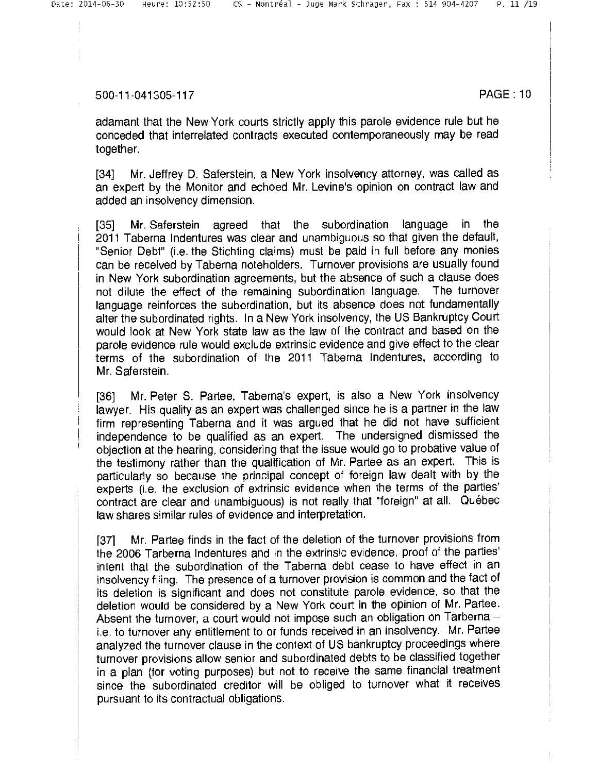adamant that the New York courts strictly apply this parole evidence rule but he conceded that interrelated contracts executed contemporaneously may be read together.

[34] Mr. Jeffrey D. Saferstein, a New York insolvency attorney, was called as an expert by the Monitor and echoed Mr. Levine's opinion on contract law and added an insolvency dimension.

[35] Mr. Saferstein agreed that the subordination language in the 2011 Taberna Indentures was clear and unambiguous so that given the default, "Senior Debt" (i.e. the Stichting claims) must be paid in full before any monies can be received by Taberna noteholders. Turnover provisions are usually found in New York subordination agreements, but the absence of such a clause does not dilute the effect of the remaining subordination language. The turnover language reinforces the subordination, but its absence does not fundamentally alter the subordinated rights. In a New York insolvency, the US Bankruptcy Court would look at New York state law as the law of the contract and based on the parole evidence rule would exclude extrinsic evidence and give effect to the clear terms of the subordination of the 2011 Taberna Indentures, according to Mr. Saferstein.

[36] Mr. Peter S. Partee, Taberna's expert, is also a New York insolvency lawyer. His quality as an expert was challenged since he is а partner in the law firm representing Taberna and it was argued that he did not have sufficient independence to be qualified as an expert. The undersigned dismissed the objection at the hearing, considering that the issue would go to probative value of the testimony rather than the qualification of Mr. Partee as an expert. This is particularly so because the principal concept of foreign law dealt with by the experts (i.e. the exclusion of extrinsic evidence when the terms of the parties' contract are clear and unambiguous) is not really that "foreign" at all. Québec law shares similar rules of evidence and interpretation.

[37] Mr. Partee finds in the fact of the deletion of the turnover provisions from the 2006 Tarberna Indentures and in the extrinsic evidence, proof of the parties' intent that the subordination of the Taberna debt cease to have effect in an insolvency filing. The presence of a turnover provision is common and the fact of its deletion is significant and does not constitute parole evidence, so that the deletion would be considered by a New York court in the opinion of Mr. Partee. Absent the turnover, a court would not impose such an obligation on Tarberna  $$ i.e. to turnover any entitlement to or funds received in an insolvency. Mr. Partee analyzed the turnover clause in the context of US bankruptcy proceedings where turnover provisions allow senior and subordinated debts to be classified together in a plan (for voting purposes) but not to receive the same financial treatment since the subordinated creditor will be obliged to turnover what it receives pursuant to its contractual obligations.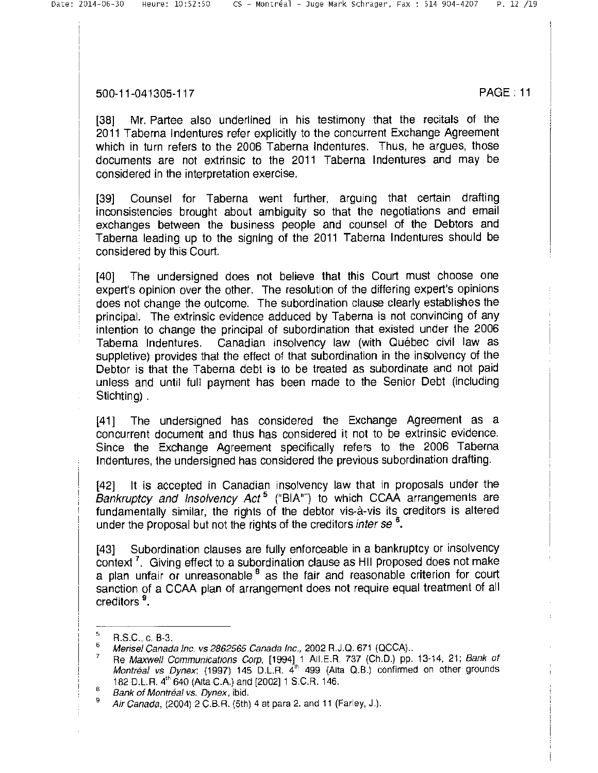[38] Mr. Partee also underlined in his testimony that the recitals of the 2011 Taberna Indentures refer explicitly to the concurrent Exchange Agreement which in turn refers to the 2006 Taberna Indentures. Thus, he argues, those documents are not extrinsic to the 2011 Taberna Indentures and may be considered in the interpretation exercise.

[39] Counsel for Taberna went further, arguing that certain drafting inconsistencies brought about ambiguity so that the negotiations and email exchanges between the business people and counsel of the Debtors and Taberna leading up to the signing of the 2011 Taberna Indentures should be considered by this Court.

[40] The undersigned does not believe that this Court must choose one expert's opinion over the other. The resolution of the differing expert's opinions does not change the outcome. The subordination clause clearly establishes the principal. The extrinsic evidence adduced by Taberna is not convincing of any intention to change the principal of subordination that existed under the 2006 Taberna Indentures. Canadian insolvency law (with Québec civil law as suppletive) provides that the effect of that subordination in the insolvency of the Debtor is that the Taberna debt is to be treated as subordinate and not paid unless and until full payment has been made to the senior Debt (including Stichting).

[41] The undersigned has considered the Exchange Agreement as a concurrent document and thus has considered it not to be extrinsic evidence. Since the Exchange Agreement specifically refers to the 2006 Taberna Indentures, the undersigned has considered the previous subordination drafting.

[42] It is accepted in Canadian insolvency law that in proposals under the Bankruptcy and Insolvency Act<sup>5</sup> ("BIA"") to which CCAA arrangements are fundamentally similar, the rights of the debtor vis-à-vis its creditors is altered under the proposal but not the rights of the creditors *inter se*<sup>6</sup>.

[43] Subordination clauses are fully enforceable in a bankruptcy or insolvency context<sup>7</sup>. Giving effect to a subordination clause as HII proposed does not make a plan unfair or unreasonable  $^8$  as the fair and reasonable criterion for court sanction of a CCAA plan of arrangement does not require equal treatment of all creditors<sup>9</sup>.

s R.S.C., c. B-3.

 $\frac{6}{7}$  Merisel Canada Inc. vs 2862565 Canada Inc., 2002 R.J.Q. 671 (QCCA)...<br> $\frac{7}{7}$  Be Marsuall Communications Canada 1994 1, All E.B. 737 (Ch.B.)...

Re Maxwell Communications Corp, [1994] 1 All.E.R. 737 (Ch.D.) pp. 13-14, 21; Bank of Montréal vs Dynex; (1997) 145 D.L.R.  $4<sup>th</sup>$  499 (Alta Q.B.) confirmed on other grounds 182 D.L.R. 4`h 640 (Alta C.A.) and [2002] 1 S.C.R. 146.

 $B$  Bank of Montréal vs. Dynex, ibid.

<sup>в</sup>*Air Canada,* (2004) 2 C.B.R. (5th) 4 at para 2. and 11 (Farley, J.).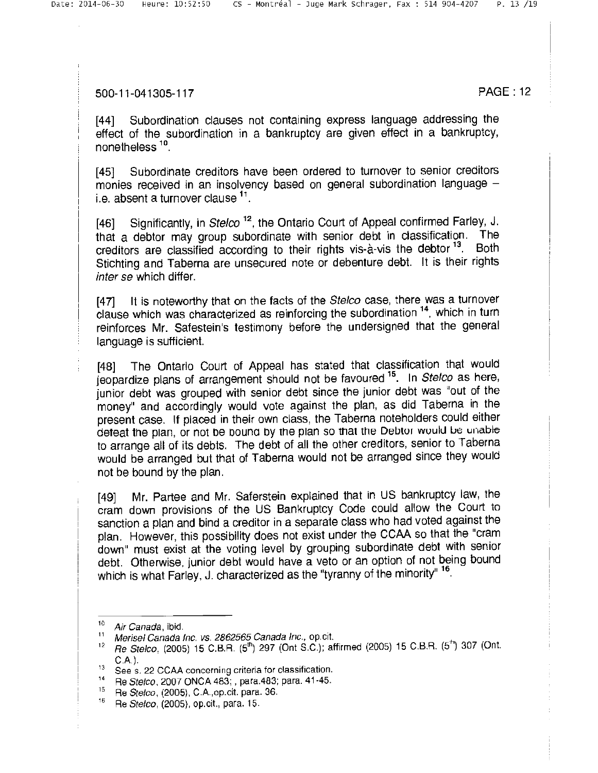[44] Subordination clauses not containing express language addressing the effect of the subordination in a bankruptcy are given effect in a bankruptcy, nonetheless 10.

[45] Subordinate creditors have been ordered to turnover to senior creditors monies received in an insolvency based on general subordination language i.e. absent a turnover clause  $11$ .

[46] Significantly, in Stelco<sup>12</sup>, the Ontario Court of Appeal confirmed Farley, J. that a debtor may group subordinate with senior debt in classification. The creditors are classified according to their rights vis-à-vis the debtor <sup>13</sup>. Both stichting and Taberna are unsecured note or debenture debt. It is their rights inter se which differ.

[47] It is noteworthy that on the facts of the Stelco case, there was a turnover clause which was characterized as reinforcing the subordination 14, which in turn reinforces Mr. Safestein's testimony before the undersigned that the general language is sufficient.

[48] The Ontario Court of Appeal has stated that classification that would jeopardize plans of arrangement should not be favoured 15. In Stelco as here, junior debt was grouped with senior debt since the junior debt was "out of the money" and accordingly would vote against the plan, as did Taberna in the present case. If placed in their own class, the Taberna noteholders could either deteat the plan, or not be bound by the plan so that the Debtor wound be unable to arrange all of its debts. The debt of all the other creditors, senior to Taberna would be arranged but that of Taberna would not be arranged since they would not be bound by the plan.

[49] Mr. Partee and Mr. Saferstein explained that in US bankruptcy law, the cram down provisions of the US Bankruptcy Code could allow the Court to sanction a plan and bind a creditor in a separate class who had voted against the plan. However, this possibility does not exist under the CCAA so that the "cram down" must exist at the voting level by grouping subordinate debt with senior debt. Otherwise, junior debt would have a veto or an option of not being bound which is what Farley, J. characterized as the "tyranny of the minority" <sup>16</sup>.

 $^{10}$  Air Canada, ibid.

Merisel Canada Inc. vs. 2862565 Canada Inc., op. cit.

<sup>12</sup> Re Stelco, (2005) 15 C.B.R. (5<sup>th</sup>) 297 (Ont S.C.); affirmed (2005) 15 C.B.R. (5<sup>th</sup>) 307 (Ont. <sup>С</sup>.A.).

<sup>&</sup>lt;sup>13</sup> See s. 22 CCAA concerning criteria for classification.<br><sup>14</sup> De Steleo 2007 ONCA 483: para 483: para 41.45

<sup>&</sup>lt;sup>14</sup> Re *Stelco*, 2007 ONCA 483; , para.483; para. 41-45.<br><sup>15</sup> Be *Stelco*, (2005), C.A. op cit. para. 36.

 $^{15}$  Re *Stelco*, (2005), C.A.,op.cit. para. 36.<br><sup>16</sup> Be *Stelco*, (2005), op.cit. para. 15.

<sup>16</sup> Re Stelco, (2005), op.cit., para. 15.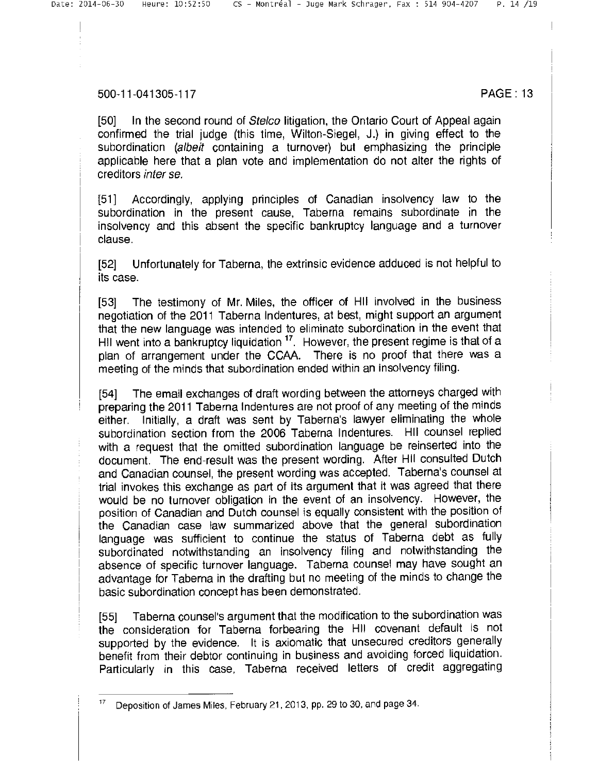[50] In the second round of *Stelco* litigation, the Ontario Court of Appeal again confirmed the trial judge (this time, Wilton-Siegel, J.) in giving effect to the subordination (albeit containing a turnover) but emphasizing the principle applicable here that а plan vote and implementation do not alter the rights of creditors inter se.

[51] Accordingly, applying principles of Canadian insolvency law to the subordination in the present cause, Taberna remains subordinate in the insolvency and this absent the specific bankruptcy language and a turnover clause.

[52] Unfortunately for Taberna, the extrinsic evidence adduced is not helpful to its case.

[53] The testimony of Mr. Miles, the officer of HII involved in the business negotiation of the 2011 Taberna Indentures, at best, might support an argument that the new language was intended to eliminate subordination in the event that Hill went into a bankruptcy liquidation <sup>17</sup>. However, the present regime is that of a plan of arrangement under the CCAA. There is no proof that there was a meeting of the minds that subordination ended within an insolvency filing.

[54] The email exchanges of draft wording between the attorneys charged with preparing the 2011 Taberna Indentures are not proof of any meeting of the minds either. Initially, a draft was sent by Taberna's lawyer eliminating the whole subordination section from the 2006 Taberna Indentures. HII counsel replied with a request that the omitted subordination language be reinserted into the document. The end-result was the present wording. After HII consulted Dutch and Canadian counsel, the present wording was accepted. Taberna's counsel at trial invokes this exchange as part of its argument that it was agreed that there would be no turnover obligation in the event of an insolvency. However, the position of Canadian and Dutch counsel is equally consistent with the position of the Canadian case law summarized above that the general subordination language was sufficient to continue the status of Taberna debt as fully subordinated notwithstanding an insolvency filing and notwithstanding the absence of specific turnover language. Taberna counsel may have sought an advantage for Taberna in the drafting but no meeting of the minds to change the basic subordination concept has been demonstrated.

[55] Taberna counsel's argument that the modrfication to the subordination was the consideration for Taberna forbearing the III covenant default is not supported by the evidence. It is axiomatic that unsecured creditors generally benefit from their debtor continuing in business and avoiding forced liquidation. Particularly in this case, Taberna received letters of credit aggregating

Deposition of James Miles, February 21, 2013, pp. 29 to 30, and page 34.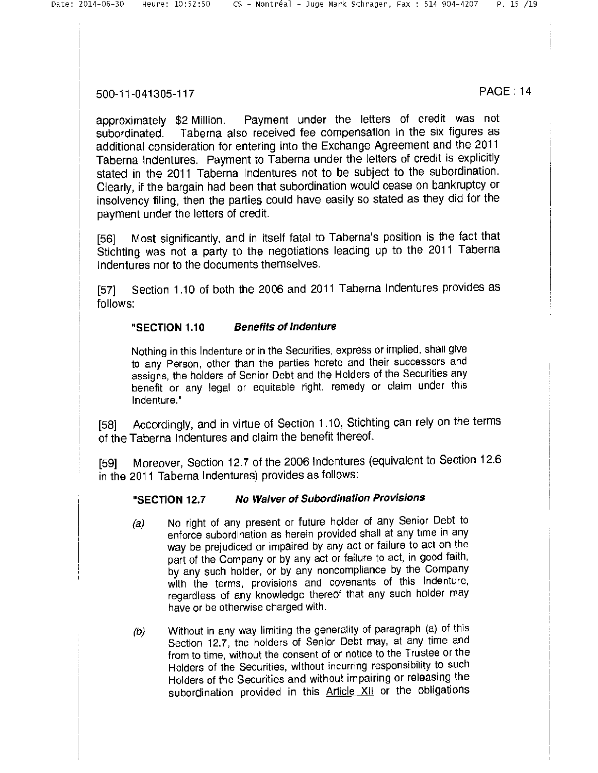approximately \$2 Million. Payment under the letters of credit was not subordinated. Taberna also received fee compensation in the six figures as additional consideration for entering into the Exchange Agreement and the 2011 Taberna Indentures. Payment to Taberna under the letters of credit is explicitly stated in the 2011 Taberna Indentures not to be subject to the subordination. Clearly, if the bargain had been that subordination would cease on bankruptcy or insolvency filing, then the parties could have easily so stated as they did for the payment under the letters of credit.

[56] Most significantly, and in itself fatal to Taberna's position is the fact that Stichting was not a party to the negotiations leading up to the 2011 Taberna Indentures nor to the documents themselves.

[57] Section 1.10 of both the 2006 and 2011 Taberna Indentures provides as follows:

### **"SECTION 1.10 Benefits of indenture**

Nothing in this Indenture or in the Securities, express or implied, shall give to any Person, other than the parties hereto and their successors and assigns, the holders of Senior Debt and the Holders of the securities any benefit or any legal or equitable right, remedy or claim under this Indenture."

[58] Accordingly, and in virtue of Section 1.10, Stichting can rely on the terms of the Taberna Indentures and claim the benefit thereof.

[59] Moreover, Section 12.7 of the 2006 Indentures (equivalent to Section 12.6 in the 2011 Taberna Indentures) provides as follows:

#### **"SECTION 12.7 No Waiver of Subordination Provisions**

- (a) No right of any present or future holder of any Senior Debt to enforce subordination as herein provided shall at any time in any way be prejudiced or impaired by any act or failure to act on the part of the Company or by any act or failure to act, in good faith, by any such holder, or by any noncompliance by the Company with the terms, provisions and covenants of this Indenture, regardless of any knowledge thereof that any such holder may have or be otherwise charged with.
- (b) Without in any way limiting the generality of paragraph (a) of this Section 12.7, the holders of Senior Debt may, at any time and from to time, without the consent of or notice to the Trustee or the Holders of the Securities, without incurring responsibility to such Holders of the Securities and without impairing or releasing the subordination provided in this **Article XII** or the obligations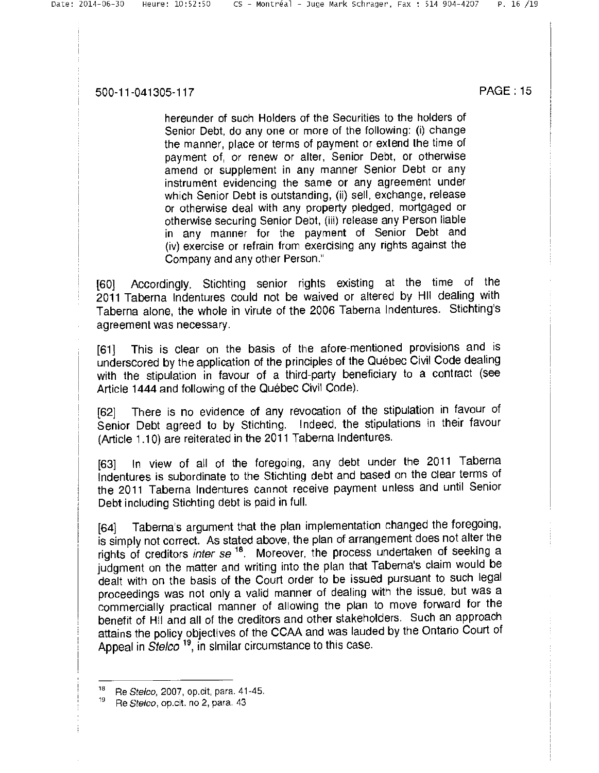hereunder of such Holders of the Securities to the holders of senior Debt, do any one or more of the following: (i) change the manner, place or terms of payment or extend the time of payment of, or renew or alter, Senior Debt, or otherwise amend or supplement in any manner Senior Debt or any instrument evidencing the same or any agreement under which Senior Debt is outstanding, (ii) sell, exchange, release or otherwise deal with any property pledged, mortgaged or otherwise securing Senior Debt, (iii) release any Person liable in any manner for the payment of Senior Debt and (iv) exercise or refrain from exercising any rights against the Company and any other Person."

[60] Accordingly, Stichting senior rights existing at the time of the 2011 Taberna Indentures could not be waived or altered by III dealing with Taberna alone, the whole in virute of the 2006 Taberna Indentures. Stichting's agreement was necessary.

[61] This is clear on the basis of the afore-mentioned provisions and is underscored by the application of the principles of the Québec Civil Code dealing with the stipulation in favour of а third-party beneficiary to а contract (see Article 1444 and following of the Ouébec Civil Code).

[62] There is no evidence of any revocation of the stipulation in favour of Senior Debt agreed to by Stichting. Indeed, the stipulations in their favour (Article 1.10) are reiterated in the 2011 Taberna Indentures.

[63] In view of all of the foregoing, any debt under the 2011 Taberna Indentures is subordinate to the Stichting debt and based on the clear terms of the 2011 Taberna Indentures cannot receive payment unless and until Senior Debt including Stichting debt is paid in full.

[64] Taberna's argument that the plan implementation changed the foregoing, is simply not correct. As stated above, the plan of arrangement does not alter the rights of creditors inter  $se^{-18}$ . Moreover, the process undertaken of seeking a judgment on the matter and writing into the plan that Taberna's claim would be dealt with on the basis of the Court order to be issued pursuant to such legal proceedings was not only a valid manner of dealing with the issue, but was a commercially practical manner of allowing the plan to move forward for the benefit of Hil and all of the creditors and other stakeholders. Such an approach attains the policy objectives of the CCAA and was lauded by the Ontario Court of Appeal in Stelco<sup>19</sup>, in similar circumstance to this case.

<sup>&</sup>lt;sup>18</sup> Re *Stelco*, 2007, op.cit, para. 41-45.

Re Stelco, op.cit. no 2, para. 43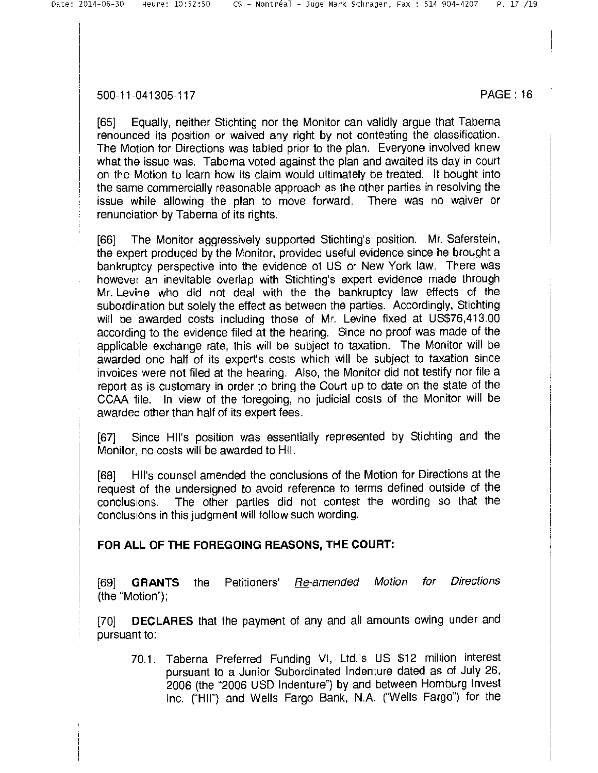[65] Equally, neither Stichting nor the Monitor can validly argue that Taberna renounced its position or waived any right by not contesting the classification. The Motion for Directions was tabled prior to the plan. Everyone involved knew what the issue was. Taberna voted against the plan and awaited its day in court on the Motion to learn how its claim would ultimately be treated. It bought into the same commercially reasonable approach as the other parties in resolving the issue while allowing the plan to move forward. There was no waiver or renunciation by Taberna of its rights.

[66] The Monitor aggressively supported Stichting's position. Mr. Saferstein, the expert produced by the Monitor, provided useful evidence since he brought a bankruptcy perspective into the evidence of US or New York law. There was however an inevitable overlap with Stichting's expert evidence made through Mr. Levine who did not deal with the the bankruptcy law effects of the subordination but solely the effect as between the parties. Accordingly, Stichting will be awarded costs including those of Mr. Levine fixed at US\$76,413.00 according to the evidence filed at the hearing. Since no proof was made of the applicable exchange rate, this will be subject to taxation. The Monitor will be awarded one half of its expert's costs which will be subject to taxation since invoices were not filed at the hearing. Also, the Monitor did not testify nor file a report as is customary in order to bring the Court up to date on the state of the CCAA file. In view of the foregoing, no judicial costs of the Monitor will be awarded other than half of its expert fees.

[67] Since Ill's position was essentially represented by Stichting and the Monitor, no costs will be awarded to HII.

[68] HII's counsel amended the conclusions of the Motion for Directions at the request of the undersigned to avoid reference to terms defined outside of the conclusions. The other parties did not contest the wording so that the conclusions in this judgment will follow such wording.

### **FOR ALL OF THE FOREGOING REASONS, THE COURT:**

[69] **GRANTS** the Petitioners' Re-amended Motion for Directions (the "Motion");

**[70] DECLARES** that the payment of any and all amounts owing under and pursuant to:

70.1. Taberna Preferred Funding VI, Ltd.'s US \$12 million interest pursuant to a Junior Subordinated Indenture dated as of July 26, 2006 (the "2006 USD Indenture") by and between Homburg Invest Inc. ("HII") and Wells Fargo Bank, N.A. ("Wells Fargo") for the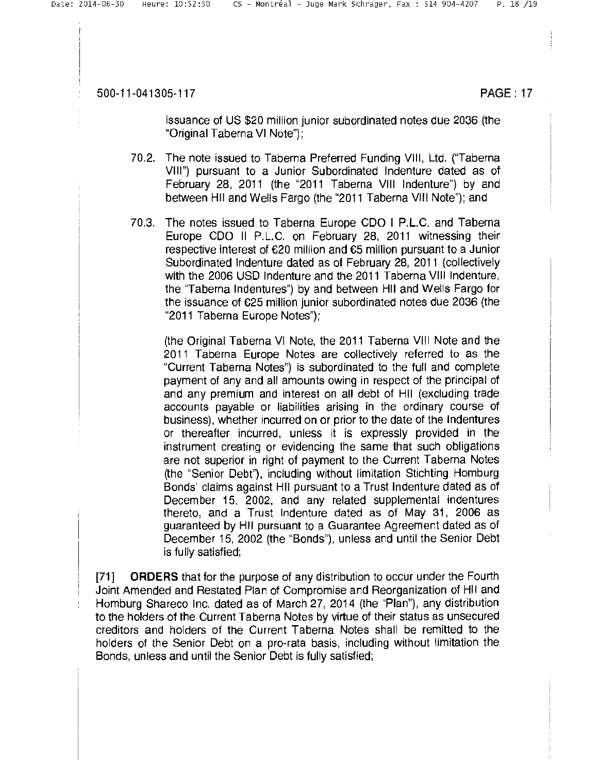issuance of US \$20 million junior subordinated notes due 2036 (the "Original Taberna VI Note");

- 70.2. The note issued to Taberna Preferred Funding VIII, Ltd. ("Taberna VIII") pursuant to a Junior Subordinated Indenture dated as of February 28, 2011 (the "2011 Taberna VIII Indenture") by and between HII and Wells Fargo (the "2011 Taberna VIII Note"); and
- 70.3. The notes issued to Taberna Europe CDO I P.L.C. and Taberna Europe COO II P.L.C. on February 28, 2011 witnessing their respective interest of €20 million and €5 million pursuant to a Junior Subordinated Indenture dated as of February 28, 2011 (collectively with the 2006 USD Indenture and the 2011 Taberna VIII Indenture, the "Taberna Indentures") by and between III and Wells Fargo for the issuance of €25 million junior subordinated notes due 2036 (the "2011 Taberna Europe Notes");

(the Original Taberna VI Note, the 2011 Taberna VIII Note and the 2011 Taberna Europe Notes are collectively referred to as the "Current Taberna Notes') is subordinated to the full and complete payment of any and all amounts owing in respect of the principal of and any premium and interest on all debt of HII (excluding trade accounts payable or liabilities arising in the ordinary course of business), whether incurred on or prior to the date of the Indentures or thereafter incurred, unless it is expressly provided in the instrument creating or evidencing the same that such obligations are not superior in right of payment to the Current Taberna Notes (the "Senior Debt'), including without limitation Stichting Homburg Bonds' claims against HII pursuant to a Trust Indenture dated as of December 15, 2002, and any related supplemental indentures thereto, and a Trust Indenture dated as of May 31, 2006 as guaranteed by III pursuant to a Guarantee Agreement dated as of December 15, 2002 (the "Bonds"), unless and until the Senior Debt is fully satisfied;

[71] ORDERS that for the purpose of any distribution to occur under the Fourth Joint Amended and Restated Plan of Compromise and Reorganization of III and Homburg Shareco Inc. dated as of March 27, 2014 (the "Plan"), any distribution to the holders of the Current Taberna Notes by virtue of their status as unsecured creditors and holders of the Current Taberna Notes shall be remitted to the holders of the Senior Debt on а pro-rata basis, including without limitation the Bonds, unless and until the Senior Debt is fully satisfied;